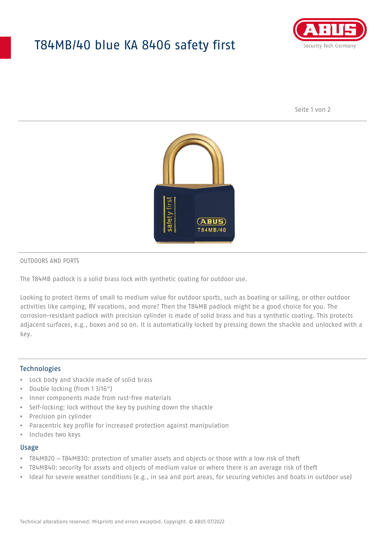## T84MB/40 blue KA 8406 safety first



Seite 1 von 2



#### OUTDOORS AND PORTS

The T84MB padlock is a solid brass lock with synthetic coating for outdoor use.

Looking to protect items of small to medium value for outdoor sports, such as boating or sailing, or other outdoor activities like camping, RV vacations, and more? Then the T84MB padlock might be a good choice for you. The corrosion-resistant padlock with precision cylinder is made of solid brass and has a synthetic coating. This protects adjacent surfaces, e.g., boxes and so on. It is automatically locked by pressing down the shackle and unlocked with a key.

#### Technologies

- Lock body and shackle made of solid brass
- Double locking (from 1 3/16")
- Inner components made from rust-free materials
- Self-locking: lock without the key by pushing down the shackle
- Precision pin cylinder
- Paracentric key profile for increased protection against manipulation
- Includes two keys

#### Usage

- T84MB20 T84MB30: protection of smaller assets and objects or those with a low risk of theft
- T84MB40: security for assets and objects of medium value or where there is an average risk of theft
- Ideal for severe weather conditions (e.g., in sea and port areas, for securing vehicles and boats in outdoor use)